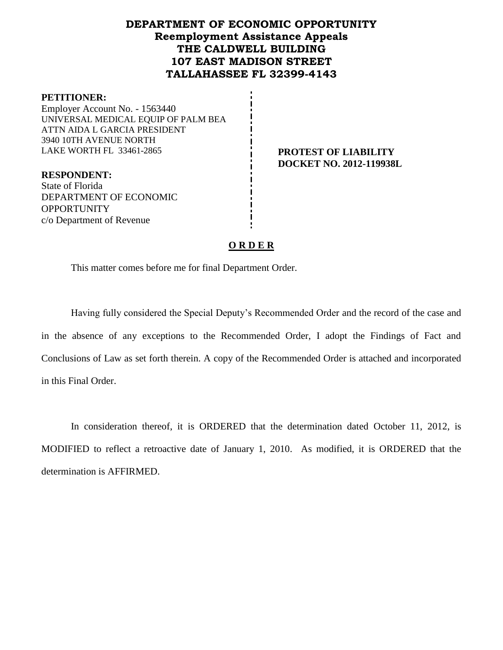# **DEPARTMENT OF ECONOMIC OPPORTUNITY Reemployment Assistance Appeals THE CALDWELL BUILDING 107 EAST MADISON STREET TALLAHASSEE FL 32399-4143**

#### **PETITIONER:**

Employer Account No. - 1563440 UNIVERSAL MEDICAL EQUIP OF PALM BEA ATTN AIDA L GARCIA PRESIDENT 3940 10TH AVENUE NORTH LAKE WORTH FL 33461-2865 **PROTEST OF LIABILITY**

# **DOCKET NO. 2012-119938L**

**RESPONDENT:** State of Florida DEPARTMENT OF ECONOMIC **OPPORTUNITY** c/o Department of Revenue

#### **O R D E R**

This matter comes before me for final Department Order.

Having fully considered the Special Deputy's Recommended Order and the record of the case and in the absence of any exceptions to the Recommended Order, I adopt the Findings of Fact and Conclusions of Law as set forth therein. A copy of the Recommended Order is attached and incorporated in this Final Order.

In consideration thereof, it is ORDERED that the determination dated October 11, 2012, is MODIFIED to reflect a retroactive date of January 1, 2010. As modified, it is ORDERED that the determination is AFFIRMED.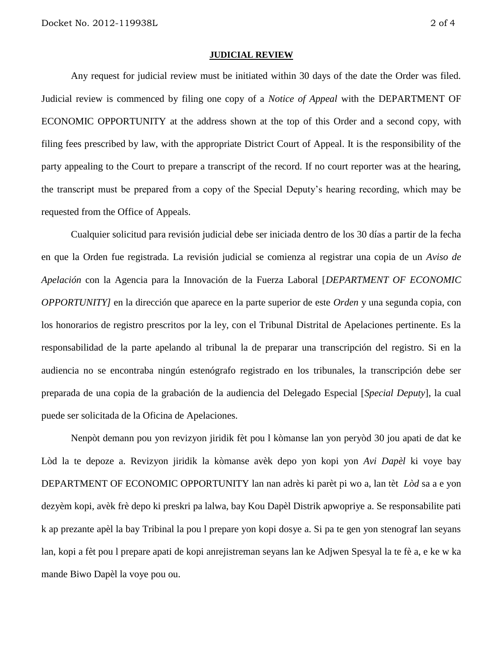#### **JUDICIAL REVIEW**

Any request for judicial review must be initiated within 30 days of the date the Order was filed. Judicial review is commenced by filing one copy of a *Notice of Appeal* with the DEPARTMENT OF ECONOMIC OPPORTUNITY at the address shown at the top of this Order and a second copy, with filing fees prescribed by law, with the appropriate District Court of Appeal. It is the responsibility of the party appealing to the Court to prepare a transcript of the record. If no court reporter was at the hearing, the transcript must be prepared from a copy of the Special Deputy's hearing recording, which may be requested from the Office of Appeals.

Cualquier solicitud para revisión judicial debe ser iniciada dentro de los 30 días a partir de la fecha en que la Orden fue registrada. La revisión judicial se comienza al registrar una copia de un *Aviso de Apelación* con la Agencia para la Innovación de la Fuerza Laboral [*DEPARTMENT OF ECONOMIC OPPORTUNITY]* en la dirección que aparece en la parte superior de este *Orden* y una segunda copia, con los honorarios de registro prescritos por la ley, con el Tribunal Distrital de Apelaciones pertinente. Es la responsabilidad de la parte apelando al tribunal la de preparar una transcripción del registro. Si en la audiencia no se encontraba ningún estenógrafo registrado en los tribunales, la transcripción debe ser preparada de una copia de la grabación de la audiencia del Delegado Especial [*Special Deputy*], la cual puede ser solicitada de la Oficina de Apelaciones.

Nenpòt demann pou yon revizyon jiridik fèt pou l kòmanse lan yon peryòd 30 jou apati de dat ke Lòd la te depoze a. Revizyon jiridik la kòmanse avèk depo yon kopi yon *Avi Dapèl* ki voye bay DEPARTMENT OF ECONOMIC OPPORTUNITY lan nan adrès ki parèt pi wo a, lan tèt *Lòd* sa a e yon dezyèm kopi, avèk frè depo ki preskri pa lalwa, bay Kou Dapèl Distrik apwopriye a. Se responsabilite pati k ap prezante apèl la bay Tribinal la pou l prepare yon kopi dosye a. Si pa te gen yon stenograf lan seyans lan, kopi a fèt pou l prepare apati de kopi anrejistreman seyans lan ke Adjwen Spesyal la te fè a, e ke w ka mande Biwo Dapèl la voye pou ou.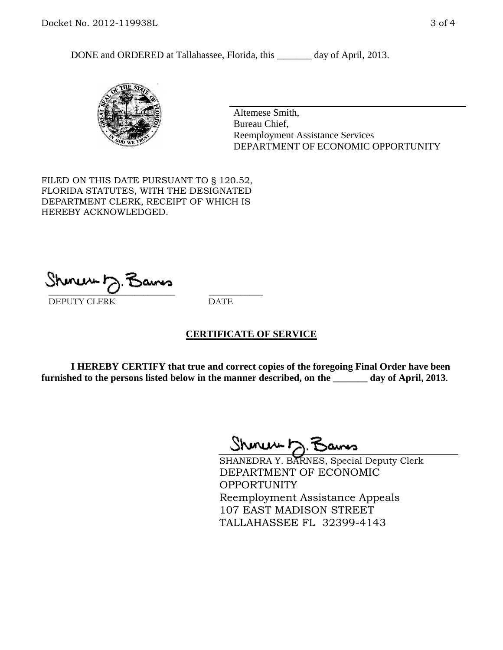DONE and ORDERED at Tallahassee, Florida, this \_\_\_\_\_\_\_ day of April, 2013.



Altemese Smith, Bureau Chief, Reemployment Assistance Services DEPARTMENT OF ECONOMIC OPPORTUNITY

FILED ON THIS DATE PURSUANT TO § 120.52, FLORIDA STATUTES, WITH THE DESIGNATED DEPARTMENT CLERK, RECEIPT OF WHICH IS HEREBY ACKNOWLEDGED.

 $\overline{\phantom{a}}$  ,  $\overline{\phantom{a}}$  ,  $\overline{\phantom{a}}$  ,  $\overline{\phantom{a}}$  ,  $\overline{\phantom{a}}$  ,  $\overline{\phantom{a}}$  ,  $\overline{\phantom{a}}$  ,  $\overline{\phantom{a}}$ DEPUTY CLERK DATE

#### **CERTIFICATE OF SERVICE**

**I HEREBY CERTIFY that true and correct copies of the foregoing Final Order have been furnished to the persons listed below in the manner described, on the \_\_\_\_\_\_\_ day of April, 2013**.

 $ShmumE, F$ 

SHANEDRA Y. BARNES, Special Deputy Clerk DEPARTMENT OF ECONOMIC **OPPORTUNITY** Reemployment Assistance Appeals 107 EAST MADISON STREET TALLAHASSEE FL 32399-4143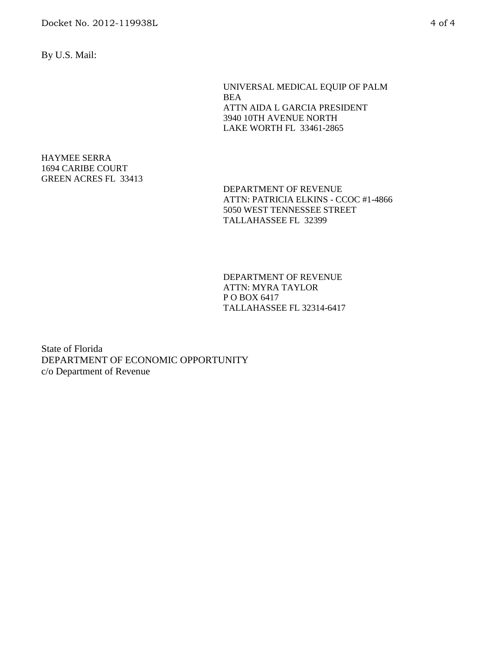By U.S. Mail:

UNIVERSAL MEDICAL EQUIP OF PALM BEA ATTN AIDA L GARCIA PRESIDENT 3940 10TH AVENUE NORTH LAKE WORTH FL 33461-2865

#### HAYMEE SERRA 1694 CARIBE COURT GREEN ACRES FL 33413

DEPARTMENT OF REVENUE ATTN: PATRICIA ELKINS - CCOC #1-4866 5050 WEST TENNESSEE STREET TALLAHASSEE FL 32399

DEPARTMENT OF REVENUE ATTN: MYRA TAYLOR P O BOX 6417 TALLAHASSEE FL 32314-6417

State of Florida DEPARTMENT OF ECONOMIC OPPORTUNITY c/o Department of Revenue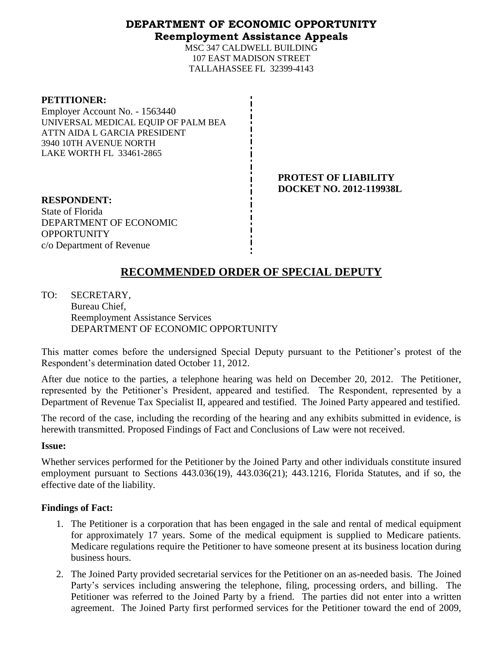### **DEPARTMENT OF ECONOMIC OPPORTUNITY Reemployment Assistance Appeals**

MSC 347 CALDWELL BUILDING 107 EAST MADISON STREET TALLAHASSEE FL 32399-4143

**PROTEST OF LIABILITY DOCKET NO. 2012-119938L**

**RESPONDENT:** State of Florida DEPARTMENT OF ECONOMIC **OPPORTUNITY** c/o Department of Revenue

# **RECOMMENDED ORDER OF SPECIAL DEPUTY**

TO: SECRETARY, Bureau Chief, Reemployment Assistance Services DEPARTMENT OF ECONOMIC OPPORTUNITY

This matter comes before the undersigned Special Deputy pursuant to the Petitioner's protest of the Respondent's determination dated October 11, 2012.

After due notice to the parties, a telephone hearing was held on December 20, 2012. The Petitioner, represented by the Petitioner's President, appeared and testified. The Respondent, represented by a Department of Revenue Tax Specialist II, appeared and testified. The Joined Party appeared and testified.

The record of the case, including the recording of the hearing and any exhibits submitted in evidence, is herewith transmitted. Proposed Findings of Fact and Conclusions of Law were not received.

#### **Issue:**

Whether services performed for the Petitioner by the Joined Party and other individuals constitute insured employment pursuant to Sections 443.036(19), 443.036(21); 443.1216, Florida Statutes, and if so, the effective date of the liability.

## **Findings of Fact:**

- 1. The Petitioner is a corporation that has been engaged in the sale and rental of medical equipment for approximately 17 years. Some of the medical equipment is supplied to Medicare patients. Medicare regulations require the Petitioner to have someone present at its business location during business hours.
- 2. The Joined Party provided secretarial services for the Petitioner on an as-needed basis. The Joined Party's services including answering the telephone, filing, processing orders, and billing. The Petitioner was referred to the Joined Party by a friend. The parties did not enter into a written agreement. The Joined Party first performed services for the Petitioner toward the end of 2009,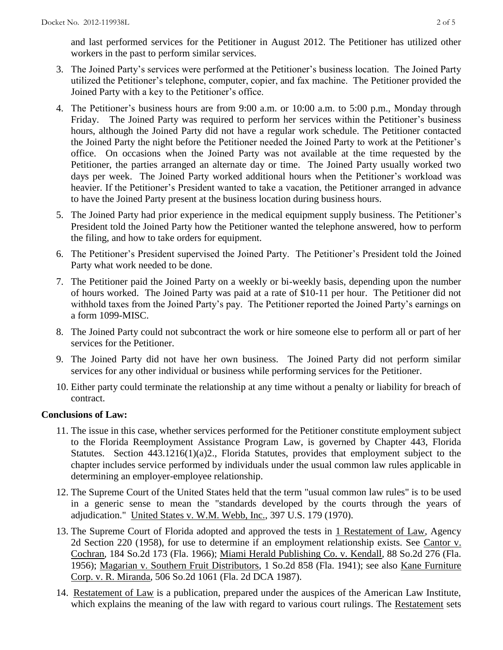and last performed services for the Petitioner in August 2012. The Petitioner has utilized other workers in the past to perform similar services.

- 3. The Joined Party's services were performed at the Petitioner's business location. The Joined Party utilized the Petitioner's telephone, computer, copier, and fax machine. The Petitioner provided the Joined Party with a key to the Petitioner's office.
- 4. The Petitioner's business hours are from 9:00 a.m. or 10:00 a.m. to 5:00 p.m., Monday through Friday. The Joined Party was required to perform her services within the Petitioner's business hours, although the Joined Party did not have a regular work schedule. The Petitioner contacted the Joined Party the night before the Petitioner needed the Joined Party to work at the Petitioner's office. On occasions when the Joined Party was not available at the time requested by the Petitioner, the parties arranged an alternate day or time. The Joined Party usually worked two days per week. The Joined Party worked additional hours when the Petitioner's workload was heavier. If the Petitioner's President wanted to take a vacation, the Petitioner arranged in advance to have the Joined Party present at the business location during business hours.
- 5. The Joined Party had prior experience in the medical equipment supply business. The Petitioner's President told the Joined Party how the Petitioner wanted the telephone answered, how to perform the filing, and how to take orders for equipment.
- 6. The Petitioner's President supervised the Joined Party. The Petitioner's President told the Joined Party what work needed to be done.
- 7. The Petitioner paid the Joined Party on a weekly or bi-weekly basis, depending upon the number of hours worked. The Joined Party was paid at a rate of \$10-11 per hour. The Petitioner did not withhold taxes from the Joined Party's pay. The Petitioner reported the Joined Party's earnings on a form 1099-MISC.
- 8. The Joined Party could not subcontract the work or hire someone else to perform all or part of her services for the Petitioner.
- 9. The Joined Party did not have her own business. The Joined Party did not perform similar services for any other individual or business while performing services for the Petitioner.
- 10. Either party could terminate the relationship at any time without a penalty or liability for breach of contract.

#### **Conclusions of Law:**

- 11. The issue in this case, whether services performed for the Petitioner constitute employment subject to the Florida Reemployment Assistance Program Law, is governed by Chapter 443, Florida Statutes. Section 443.1216(1)(a)2., Florida Statutes, provides that employment subject to the chapter includes service performed by individuals under the usual common law rules applicable in determining an employer-employee relationship.
- 12. The Supreme Court of the United States held that the term "usual common law rules" is to be used in a generic sense to mean the "standards developed by the courts through the years of adjudication." United States v. W.M. Webb, Inc., 397 U.S. 179 (1970).
- 13. The Supreme Court of Florida adopted and approved the tests in 1 Restatement of Law, Agency 2d Section 220 (1958), for use to determine if an employment relationship exists. See Cantor v. Cochran, 184 So.2d 173 (Fla. 1966); Miami Herald Publishing Co. v. Kendall, 88 So.2d 276 (Fla. 1956); Magarian v. Southern Fruit Distributors, 1 So.2d 858 (Fla. 1941); see also Kane Furniture Corp. v. R. Miranda, 506 So.2d 1061 (Fla. 2d DCA 1987).
- 14. Restatement of Law is a publication, prepared under the auspices of the American Law Institute, which explains the meaning of the law with regard to various court rulings. The Restatement sets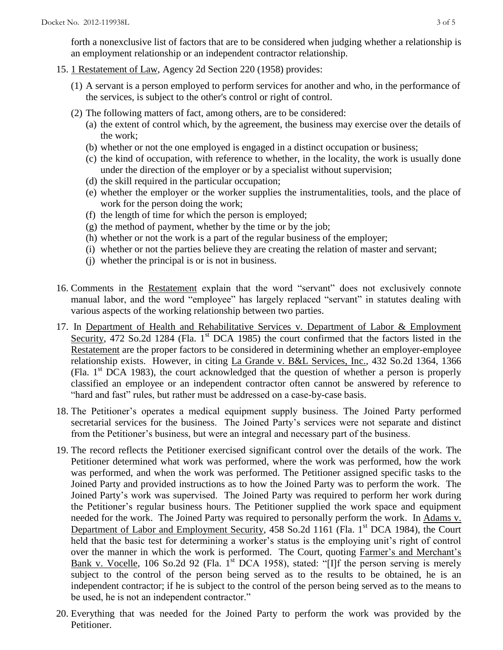forth a nonexclusive list of factors that are to be considered when judging whether a relationship is an employment relationship or an independent contractor relationship.

- 15. 1 Restatement of Law, Agency 2d Section 220 (1958) provides:
	- (1) A servant is a person employed to perform services for another and who, in the performance of the services, is subject to the other's control or right of control.
	- (2) The following matters of fact, among others, are to be considered:
		- (a) the extent of control which, by the agreement, the business may exercise over the details of the work;
		- (b) whether or not the one employed is engaged in a distinct occupation or business;
		- (c) the kind of occupation, with reference to whether, in the locality, the work is usually done under the direction of the employer or by a specialist without supervision;
		- (d) the skill required in the particular occupation;
		- (e) whether the employer or the worker supplies the instrumentalities, tools, and the place of work for the person doing the work;
		- (f) the length of time for which the person is employed;
		- $(g)$  the method of payment, whether by the time or by the job;
		- (h) whether or not the work is a part of the regular business of the employer;
		- (i) whether or not the parties believe they are creating the relation of master and servant;
		- (j) whether the principal is or is not in business.
- 16. Comments in the Restatement explain that the word "servant" does not exclusively connote manual labor, and the word "employee" has largely replaced "servant" in statutes dealing with various aspects of the working relationship between two parties.
- 17. In Department of Health and Rehabilitative Services v. Department of Labor & Employment Security, 472 So.2d 1284 (Fla. 1<sup>st</sup> DCA 1985) the court confirmed that the factors listed in the Restatement are the proper factors to be considered in determining whether an employer-employee relationship exists. However, in citing La Grande v. B&L Services, Inc., 432 So.2d 1364, 1366 (Fla.  $1<sup>st</sup> DCA$  1983), the court acknowledged that the question of whether a person is properly classified an employee or an independent contractor often cannot be answered by reference to "hard and fast" rules, but rather must be addressed on a case-by-case basis.
- 18. The Petitioner's operates a medical equipment supply business. The Joined Party performed secretarial services for the business. The Joined Party's services were not separate and distinct from the Petitioner's business, but were an integral and necessary part of the business.
- 19. The record reflects the Petitioner exercised significant control over the details of the work. The Petitioner determined what work was performed, where the work was performed, how the work was performed, and when the work was performed. The Petitioner assigned specific tasks to the Joined Party and provided instructions as to how the Joined Party was to perform the work. The Joined Party's work was supervised. The Joined Party was required to perform her work during the Petitioner's regular business hours. The Petitioner supplied the work space and equipment needed for the work. The Joined Party was required to personally perform the work. In Adams v. Department of Labor and Employment Security, 458 So.2d 1161 (Fla. 1<sup>st</sup> DCA 1984), the Court held that the basic test for determining a worker's status is the employing unit's right of control over the manner in which the work is performed. The Court, quoting Farmer's and Merchant's Bank v. Vocelle, 106 So.2d 92 (Fla.  $1^{st}$  DCA 1958), stated: "[I]f the person serving is merely subject to the control of the person being served as to the results to be obtained, he is an independent contractor; if he is subject to the control of the person being served as to the means to be used, he is not an independent contractor."
- 20. Everything that was needed for the Joined Party to perform the work was provided by the Petitioner.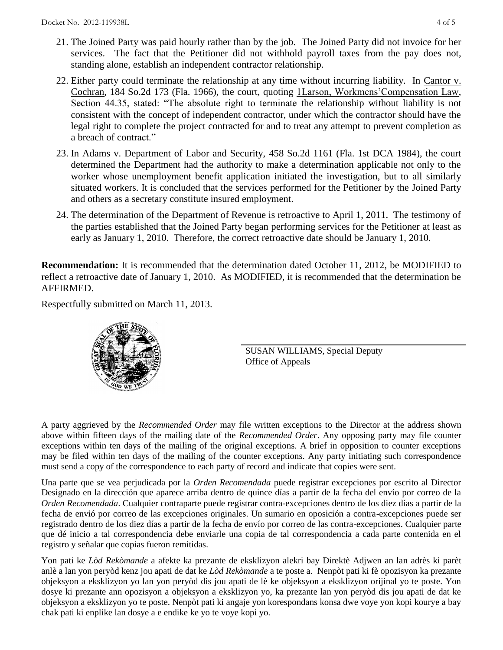- 21. The Joined Party was paid hourly rather than by the job. The Joined Party did not invoice for her services. The fact that the Petitioner did not withhold payroll taxes from the pay does not, standing alone, establish an independent contractor relationship.
- 22. Either party could terminate the relationship at any time without incurring liability. In Cantor v. Cochran, 184 So.2d 173 (Fla. 1966), the court, quoting 1Larson, Workmens'Compensation Law, Section 44.35, stated: "The absolute right to terminate the relationship without liability is not consistent with the concept of independent contractor, under which the contractor should have the legal right to complete the project contracted for and to treat any attempt to prevent completion as a breach of contract."
- 23. In Adams v. Department of Labor and Security, 458 So.2d 1161 (Fla. 1st DCA 1984), the court determined the Department had the authority to make a determination applicable not only to the worker whose unemployment benefit application initiated the investigation, but to all similarly situated workers. It is concluded that the services performed for the Petitioner by the Joined Party and others as a secretary constitute insured employment.
- 24. The determination of the Department of Revenue is retroactive to April 1, 2011. The testimony of the parties established that the Joined Party began performing services for the Petitioner at least as early as January 1, 2010. Therefore, the correct retroactive date should be January 1, 2010.

**Recommendation:** It is recommended that the determination dated October 11, 2012, be MODIFIED to reflect a retroactive date of January 1, 2010. As MODIFIED, it is recommended that the determination be AFFIRMED.

Respectfully submitted on March 11, 2013.



SUSAN WILLIAMS, Special Deputy Office of Appeals

A party aggrieved by the *Recommended Order* may file written exceptions to the Director at the address shown above within fifteen days of the mailing date of the *Recommended Order*. Any opposing party may file counter exceptions within ten days of the mailing of the original exceptions. A brief in opposition to counter exceptions may be filed within ten days of the mailing of the counter exceptions. Any party initiating such correspondence must send a copy of the correspondence to each party of record and indicate that copies were sent.

Una parte que se vea perjudicada por la *Orden Recomendada* puede registrar excepciones por escrito al Director Designado en la dirección que aparece arriba dentro de quince días a partir de la fecha del envío por correo de la *Orden Recomendada*. Cualquier contraparte puede registrar contra-excepciones dentro de los diez días a partir de la fecha de envió por correo de las excepciones originales. Un sumario en oposición a contra-excepciones puede ser registrado dentro de los diez días a partir de la fecha de envío por correo de las contra-excepciones. Cualquier parte que dé inicio a tal correspondencia debe enviarle una copia de tal correspondencia a cada parte contenida en el registro y señalar que copias fueron remitidas.

Yon pati ke *Lòd Rekòmande* a afekte ka prezante de eksklizyon alekri bay Direktè Adjwen an lan adrès ki parèt anlè a lan yon peryòd kenz jou apati de dat ke *Lòd Rekòmande* a te poste a. Nenpòt pati ki fè opozisyon ka prezante objeksyon a eksklizyon yo lan yon peryòd dis jou apati de lè ke objeksyon a eksklizyon orijinal yo te poste. Yon dosye ki prezante ann opozisyon a objeksyon a eksklizyon yo, ka prezante lan yon peryòd dis jou apati de dat ke objeksyon a eksklizyon yo te poste. Nenpòt pati ki angaje yon korespondans konsa dwe voye yon kopi kourye a bay chak pati ki enplike lan dosye a e endike ke yo te voye kopi yo.